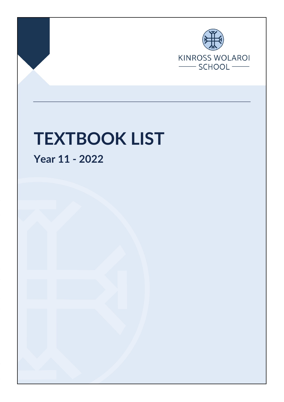

Page 1 of 5 Final Nov 2021

# **TEXTBOOK LIST**

**Year 11 - 2022**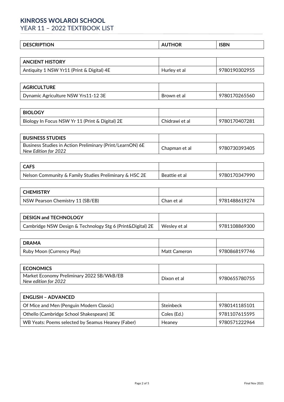# **KINROSS WOLAROI SCHOOL**

YEAR 11 - 2022 TEXTBOOK LIST

| .<br>DE<br>.ON |  | <b>ISBN</b> |
|----------------|--|-------------|
|----------------|--|-------------|

| <b>ANCIENT HISTORY</b>                    |              |               |
|-------------------------------------------|--------------|---------------|
| Antiquity 1 NSW Yr11 (Print & Digital) 4E | Hurley et al | 9780190302955 |

| <b>AGRICULTURE</b>                  |             |               |
|-------------------------------------|-------------|---------------|
| Dynamic Agriculture NSW Yrs11-12 3E | Brown et al | 9780170265560 |

| i biology                                         |                |               |
|---------------------------------------------------|----------------|---------------|
| Biology In Focus NSW Yr 11 (Print & Digital) $2E$ | Chidrawi et al | 9780170407281 |

| <b>BUSINESS STUDIES</b>                                                           |               |               |
|-----------------------------------------------------------------------------------|---------------|---------------|
| Business Studies in Action Preliminary (Print/LearnON) 6E<br>New Edition for 2022 | Chapman et al | 9780730393405 |

| <b>CAFS</b>                                            |               |               |
|--------------------------------------------------------|---------------|---------------|
| Nelson Community & Family Studies Preliminary & HSC 2E | Beattie et al | 9780170347990 |

| <b>CHEMISTRY</b>                 |            |               |
|----------------------------------|------------|---------------|
| NSW Pearson Chemistry 11 (SB/EB) | Chan et al | 9781488619274 |

| <b>DESIGN and TECHNOLOGY</b>                               |              |               |
|------------------------------------------------------------|--------------|---------------|
| Cambridge NSW Design & Technology Stg 6 (Print&Digital) 2E | Weslev et al | 9781108869300 |

| <b>DRAMA</b>              |              |               |
|---------------------------|--------------|---------------|
| Ruby Moon (Currency Play) | Matt Cameron | 9780868197746 |

| <b>ECONOMICS</b>                                                  |             |               |
|-------------------------------------------------------------------|-------------|---------------|
| Market Economy Preliminary 2022 SB/WkB/EB<br>New edition for 2022 | Dixon et al | 9780655780755 |

| <b>ENGLISH - ADVANCED</b>                         |             |               |
|---------------------------------------------------|-------------|---------------|
| Of Mice and Men (Penguin Modern Classic)          | Steinbeck   | 9780141185101 |
| Othello (Cambridge School Shakespeare) 3E         | Coles (Ed.) | 9781107615595 |
| WB Yeats: Poems selected by Seamus Heaney (Faber) | Heanev      | 9780571222964 |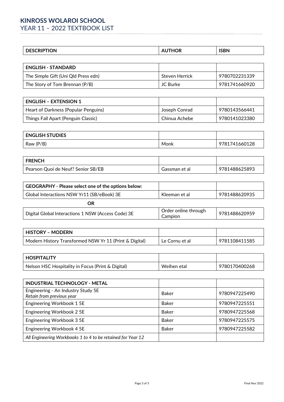# **KINROSS WOLAROI SCHOOL** YEAR 11 - 2022 TEXTBOOK LIST

| <b>DESCRIPTION</b>                  | <b>AUTHOR</b>  | <b>ISBN</b>   |
|-------------------------------------|----------------|---------------|
|                                     |                |               |
| <b>ENGLISH - STANDARD</b>           |                |               |
| The Simple Gift (Uni Qld Press edn) | Steven Herrick | 9780702231339 |
| The Story of Tom Brennan (P/B)      | JC Burke       | 9781741660920 |

| l ENGLISH – EXTENSION 1              |               |               |
|--------------------------------------|---------------|---------------|
| Heart of Darkness (Popular Penguins) | Joseph Conrad | 9780143566441 |
| Things Fall Apart (Penguin Classic)  | Chinua Achebe | 9780141023380 |

| <b>ENGLISH STUDIES</b> |      |               |
|------------------------|------|---------------|
| Raw (P/B)              | Monk | 9781741660128 |

| <b>FRENCH</b>                      |               |               |
|------------------------------------|---------------|---------------|
| Pearson Quoi de Neuf? Senior SB/EB | assman et al. | 9781488625893 |

| GEOGRAPHY - Please select one of the options below: |                                 |               |
|-----------------------------------------------------|---------------------------------|---------------|
| Global Interactions NSW Yr11 (SB/eBook) 3E          | Kleeman et al                   | 9781488620935 |
| OR                                                  |                                 |               |
| Digital Global Interactions 1 NSW (Access Code) 3E  | Order online through<br>Campion | 9781488620959 |

| <b>HISTORY - MODERN</b>                                |                |               |
|--------------------------------------------------------|----------------|---------------|
| Modern History Transformed NSW Yr 11 (Print & Digital) | Le Cornu et al | 9781108411585 |

| <b>HOSPITALITY</b>                                |             |               |
|---------------------------------------------------|-------------|---------------|
| Nelson HSC Hospitality in Focus (Print & Digital) | Weihen etal | 9780170400268 |

| <b>INDUSTRIAL TECHNOLOGY - METAL</b>                            |              |               |
|-----------------------------------------------------------------|--------------|---------------|
| Engineering - An Industry Study 5E<br>Retain from previous year | Baker        | 9780947225490 |
| Engineering Workbook 1 5E                                       | <b>Baker</b> | 9780947225551 |
| Engineering Workbook 2 5E                                       | <b>Baker</b> | 9780947225568 |
| Engineering Workbook 3 5E                                       | <b>Baker</b> | 9780947225575 |
| Engineering Workbook 4 5E                                       | <b>Baker</b> | 9780947225582 |
| All Engineering Workbooks 1 to 4 to be retained for Year 12     |              |               |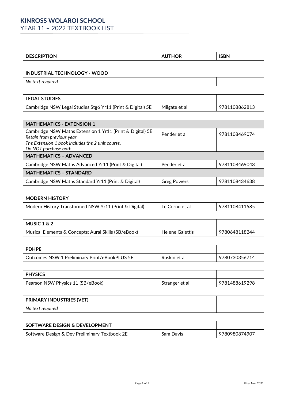# **KINROSS WOLAROI SCHOOL** YEAR 11 - 2022 TEXTBOOK LIST

|  | <b>DESCRIPTION</b> | 'OR | <b>ICRN</b><br>,,, |
|--|--------------------|-----|--------------------|
|--|--------------------|-----|--------------------|

| INDUSTRIAL TECHNOLOGY - WOOD |  |  |
|------------------------------|--|--|
| No text required             |  |  |
|                              |  |  |
| <b>LEGAL STUDIES</b>         |  |  |

| LEUAL JIULIEJ                                              |               |               |
|------------------------------------------------------------|---------------|---------------|
| Cambridge NSW Legal Studies Stg6 Yr11 (Print & Digital) 5E | Milgate et al | 9781108862813 |
|                                                            |               |               |

| <b>MATHEMATICS - EXTENSION 1</b>                          |                    |               |  |
|-----------------------------------------------------------|--------------------|---------------|--|
| Cambridge NSW Maths Extension 1 Yr11 (Print & Digital) 5E | Pender et al       | 9781108469074 |  |
| Retain from previous year                                 |                    |               |  |
| The Extension 1 book includes the 2 unit course.          |                    |               |  |
| Do NOT purchase both.                                     |                    |               |  |
| <b>MATHEMATICS - ADVANCED</b>                             |                    |               |  |
| Cambridge NSW Maths Advanced Yr11 (Print & Digital)       | Pender et al       | 9781108469043 |  |
| <b>MATHEMATICS - STANDARD</b>                             |                    |               |  |
| Cambridge NSW Maths Standard Yr11 (Print & Digital)       | <b>Greg Powers</b> | 9781108434638 |  |

| <b>MODERN HISTORY</b>                                 |                |               |
|-------------------------------------------------------|----------------|---------------|
| Modern History Transformed NSW Yr11 (Print & Digital) | Le Cornu et al | 9781108411585 |
|                                                       |                |               |

| MUSIC 1 & 2                                            |                 |               |
|--------------------------------------------------------|-----------------|---------------|
| ' Musical Elements & Concepts: Aural Skills (SB/eBook) | Helene Galettis | 9780648118244 |

| <b>PDHPF</b>                                  |              |               |
|-----------------------------------------------|--------------|---------------|
| Outcomes NSW 1 Preliminary Print/eBookPLUS 5E | Ruskin et al | 9780730356714 |

| <b>PHYSICS</b>                    |                |               |
|-----------------------------------|----------------|---------------|
| Pearson NSW Physics 11 (SB/eBook) | Stranger et al | 9781488619298 |

| <b>PRIMARY INDUSTRIES (VET)</b> |  |
|---------------------------------|--|
| No text required                |  |

| I SOFTWARE DESIGN & DEVELOPMENT               |           |               |
|-----------------------------------------------|-----------|---------------|
| Software Design & Dev Preliminary Textbook 2E | Sam Davis | 9780980874907 |